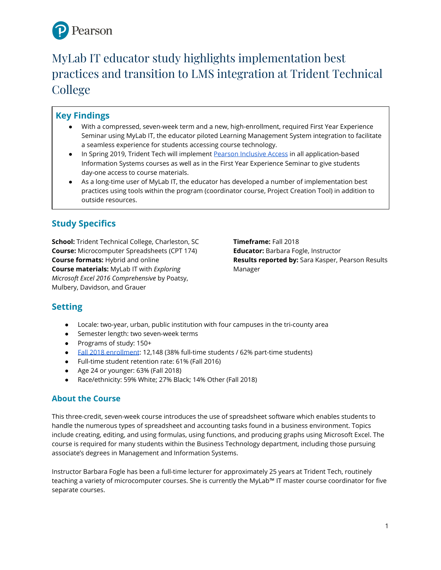

# MyLab IT educator study highlights implementation best practices and transition to LMS integration at Trident Technical College

# **Key Findings**

- With a compressed, seven-week term and a new, high-enrollment, required First Year Experience Seminar using MyLab IT, the educator piloted Learning Management System integration to facilitate a seamless experience for students accessing course technology.
- In Spring 2019, Trident Tech will implement [Pearson Inclusive Access](https://www.pearson.com/us/higher-education/products-services-institutions/inclusive-access.html)in all application-based Information Systems courses as well as in the First Year Experience Seminar to give students day-one access to course materials.
- As a long-time user of MyLab IT, the educator has developed a number of implementation best practices using tools within the program (coordinator course, Project Creation Tool) in addition to outside resources.

# **Study Specifics**

**School:** Trident Technical College, Charleston, SC **Course:** Microcomputer Spreadsheets (CPT 174) **Course formats:** Hybrid and online **Course materials:** MyLab IT with *Exploring Microsoft Excel 2016 Comprehensive* by Poatsy, Mulbery, Davidson, and Grauer

**Timeframe:** Fall 2018 **Educator:** Barbara Fogle, Instructor **Results reported by:** Sara Kasper, Pearson Results Manager

## **Setting**

- Locale: two-year, urban, public institution with four campuses in the tri-county area
- Semester length: two seven-week terms
- Programs of study: 150+
- [Fall 2018 enrollment:](https://www.tridenttech.edu/about/ttc/factbook/index.htm) 12,148 (38% full-time students / 62% part-time students)
- Full-time student retention rate: 61% (Fall 2016)
- Age 24 or younger: 63% (Fall 2018)
- Race/ethnicity: 59% White; 27% Black; 14% Other (Fall 2018)

### **About the Course**

This three-credit, seven-week course introduces the use of spreadsheet software which enables students to handle the numerous types of spreadsheet and accounting tasks found in a business environment. Topics include creating, editing, and using formulas, using functions, and producing graphs using Microsoft Excel. The course is required for many students within the Business Technology department, including those pursuing associate's degrees in Management and Information Systems.

Instructor Barbara Fogle has been a full-time lecturer for approximately 25 years at Trident Tech, routinely teaching a variety of microcomputer courses. She is currently the MyLab™ IT master course coordinator for five separate courses.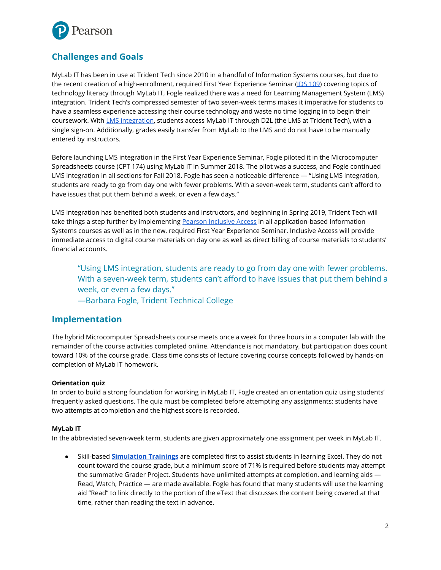

# **Challenges and Goals**

MyLab IT has been in use at Trident Tech since 2010 in a handful of Information Systems courses, but due to the recent creation of a high-enrollment, required First Year Experience Seminar [\(IDS 109\)](https://www.tridenttech.edu/coursecatalog2018/Course%20Descriptions/IDS/IDS%20109%20First%20Year%20Experience%20Seminar.html) covering topics of technology literacy through MyLab IT, Fogle realized there was a need for Learning Management System (LMS) integration. Trident Tech's compressed semester of two seven-week terms makes it imperative for students to have a seamless experience accessing their course technology and waste no time logging in to begin their coursework. With [LMS integration,](https://www.pearsonmylabandmastering.com/northamerica/myitlab/educators/support/lms-integration-services/index.html) students access MyLab IT through D2L (the LMS at Trident Tech), with a single sign-on. Additionally, grades easily transfer from MyLab to the LMS and do not have to be manually entered by instructors.

Before launching LMS integration in the First Year Experience Seminar, Fogle piloted it in the Microcomputer Spreadsheets course (CPT 174) using MyLab IT in Summer 2018. The pilot was a success, and Fogle continued LMS integration in all sections for Fall 2018. Fogle has seen a noticeable difference — "Using LMS integration, students are ready to go from day one with fewer problems. With a seven-week term, students can't afford to have issues that put them behind a week, or even a few days."

LMS integration has benefited both students and instructors, and beginning in Spring 2019, Trident Tech will take things a step further by implementing [Pearson Inclusive Access](https://www.pearson.com/us/higher-education/products-services-institutions/inclusive-access.html)in all application-based Information Systems courses as well as in the new, required First Year Experience Seminar. Inclusive Access will provide immediate access to digital course materials on day one as well as direct billing of course materials to students' financial accounts.

"Using LMS integration, students are ready to go from day one with fewer problems. With a seven-week term, students can't afford to have issues that put them behind a week, or even a few days."

—Barbara Fogle, Trident Technical College

### **Implementation**

The hybrid Microcomputer Spreadsheets course meets once a week for three hours in a computer lab with the remainder of the course activities completed online. Attendance is not mandatory, but participation does count toward 10% of the course grade. Class time consists of lecture covering course concepts followed by hands-on completion of MyLab IT homework.

#### **Orientation quiz**

In order to build a strong foundation for working in MyLab IT, Fogle created an orientation quiz using students' frequently asked questions. The quiz must be completed before attempting any assignments; students have two attempts at completion and the highest score is recorded.

#### **MyLab IT**

In the abbreviated seven-week term, students are given approximately one assignment per week in MyLab IT.

● Skill-based **[Simulation Trainings](https://youtu.be/BfgaFSknuMs)** are completed first to assist students in learning Excel. They do not count toward the course grade, but a minimum score of 71% is required before students may attempt the summative Grader Project. Students have unlimited attempts at completion, and learning aids — Read, Watch, Practice — are made available. Fogle has found that many students will use the learning aid "Read" to link directly to the portion of the eText that discusses the content being covered at that time, rather than reading the text in advance.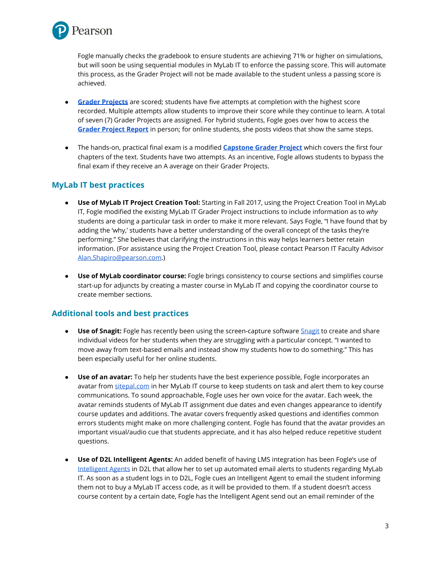

Fogle manually checks the gradebook to ensure students are achieving 71% or higher on simulations, but will soon be using sequential modules in MyLab IT to enforce the passing score. This will automate this process, as the Grader Project will not be made available to the student unless a passing score is achieved.

- **[Grader Projects](https://youtu.be/pvLGssCE_6I)** are scored; students have five attempts at completion with the highest score recorded. Multiple attempts allow students to improve their score while they continue to learn. A total of seven (7) Grader Projects are assigned. For hybrid students, Fogle goes over how to access the **[Grader Project Report](https://youtu.be/tzAHcfp2UpY)** in person; for online students, she posts videos that show the same steps.
- The hands-on, practical final exam is a modified **[Capstone Grader Project](https://www.pearsonmylabandmastering.com/northamerica/myitlab/educators/badging/grader/index.html)** which covers the first four chapters of the text. Students have two attempts. As an incentive, Fogle allows students to bypass the final exam if they receive an A average on their Grader Projects.

### **MyLab IT best practices**

- **Use of MyLab IT Project Creation Tool:** Starting in Fall 2017, using the Project Creation Tool in MyLab IT, Fogle modified the existing MyLab IT Grader Project instructions to include information as to *why* students are doing a particular task in order to make it more relevant. Says Fogle, "I have found that by adding the 'why,' students have a better understanding of the overall concept of the tasks they're performing." She believes that clarifying the instructions in this way helps learners better retain information. (For assistance using the Project Creation Tool, please contact Pearson IT Faculty Advisor [Alan.Shapiro@pearson.com](mailto:Alan.Shapiro@pearson.com).)
- **Use of MyLab coordinator course:** Fogle brings consistency to course sections and simplifies course start-up for adjuncts by creating a master course in MyLab IT and copying the coordinator course to create member sections.

### **Additional tools and best practices**

- **Use of Snagit:** Fogle has recently been using the screen-capture software **[Snagit](https://www.techsmith.com/screen-capture.html) to create and share** individual videos for her students when they are struggling with a particular concept. "I wanted to move away from text-based emails and instead show my students how to do something." This has been especially useful for her online students.
- **● Use of an avatar:** To help her students have the best experience possible, Fogle incorporates an avatar from [sitepal.com](http://www.sitepal.com/) in her MyLab IT course to keep students on task and alert them to key course communications. To sound approachable, Fogle uses her own voice for the avatar. Each week, the avatar reminds students of MyLab IT assignment due dates and even changes appearance to identify course updates and additions. The avatar covers frequently asked questions and identifies common errors students might make on more challenging content. Fogle has found that the avatar provides an important visual/audio cue that students appreciate, and it has also helped reduce repetitive student questions.
- **● Use of D2L Intelligent Agents:** An added benefit of having LMS integration has been Fogle's use of [Intelligent Agents](https://community.brightspace.com/s/article/Intelligent-Uses-of-Intelligent-Agents) in D2L that allow her to set up automated email alerts to students regarding MyLab IT. As soon as a student logs in to D2L, Fogle cues an Intelligent Agent to email the student informing them not to buy a MyLab IT access code, as it will be provided to them. If a student doesn't access course content by a certain date, Fogle has the Intelligent Agent send out an email reminder of the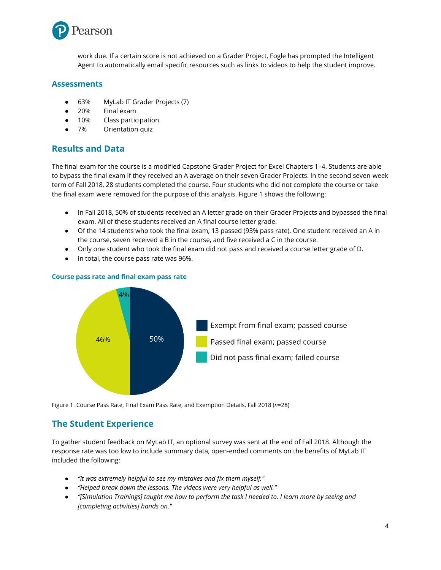

work due. If a certain score is not achieved on a Grader Project, Fogle has prompted the Intelligent Agent to automatically email specific resources such as links to videos to help the student improve.

#### **Assessments**

- 63% MyLab IT Grader Projects (7)
- 20% Final exam
- 10% Class participation
- 7% Orientation quiz

### **Results and Data**

The final exam for the course is a modified Capstone Grader Project for Excel Chapters 1–4. Students are able to bypass the final exam if they received an A average on their seven Grader Projects. In the second seven-week term of Fall 2018, 28 students completed the course. Four students who did not complete the course or take the final exam were removed for the purpose of this analysis. Figure 1 shows the following:

- In Fall 2018, 50% of students received an A letter grade on their Grader Projects and bypassed the final exam. All of these students received an A final course letter grade.
- Of the 14 students who took the final exam, 13 passed (93% pass rate). One student received an A in the course, seven received a B in the course, and five received a C in the course.
- Only one student who took the final exam did not pass and received a course letter grade of D.
- In total, the course pass rate was 96%.



#### **Course pass rate and final exam pass rate**

Figure 1. Course Pass Rate, Final Exam Pass Rate, and Exemption Details, Fall 2018 (*n*=28)

## **The Student Experience**

To gather student feedback on MyLab IT, an optional survey was sent at the end of Fall 2018. Although the response rate was too low to include summary data, open-ended comments on the benefits of MyLab IT included the following:

- *"It was extremely helpful to see my mistakes and fix them myself."*
- *"Helped break down the lessons. The videos were very helpful as well."*
- *"[Simulation Trainings] taught me how to perform the task I needed to. I learn more by seeing and [completing activities] hands on."*